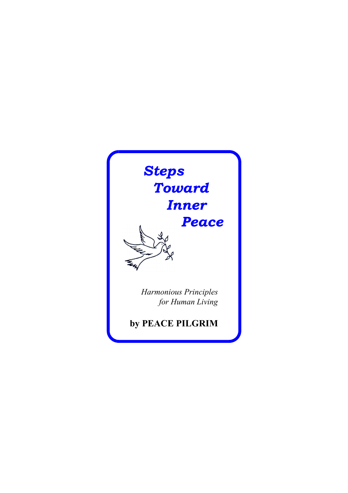

 *for Human Living*

**by PEACE PILGRIM**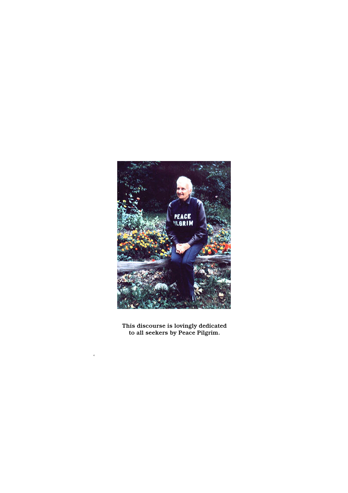

## This discourse is lovingly dedicated to all seekers by Peace Pilgrim.

c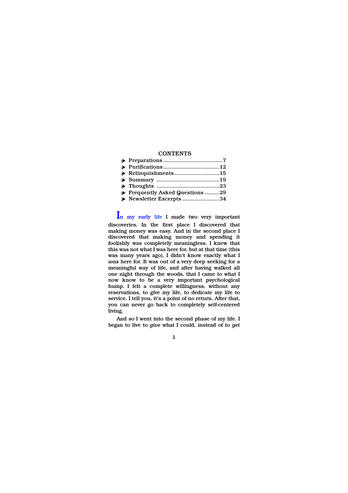### CONTENTS

| $\blacktriangleright$ Relinquishments15 |  |
|-----------------------------------------|--|
|                                         |  |
|                                         |  |
| → Frequently Asked Questions 29         |  |
| > Newsletter Excerpts 34                |  |

In my early life I made two very important discoveries. In the first place I discovered that making money was easy. And in the second place I discovered that making money and spending it foolishly was completely meaningless. I knew that this was not what I was here for, but at that time (this was many years ago), I didn't know exactly what I *was* here for. It was out of a very deep seeking for a meaningful way of life, and after having walked all one night through the woods, that I came to what I now know to be a very important psychological hump. I felt a complete willingness, without any reservations, to give my life, to dedicate my life to service. I tell you, it's a point of no return. After that, you can never go back to completely self-centered living.

And so I went into the second phase of my life. I began to live to *give* what I could, instead of to *get*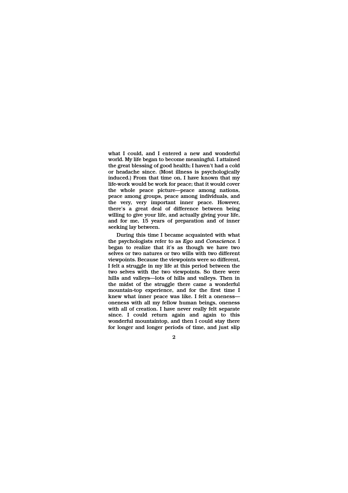what I could, and I entered a new and wonderful world. My life began to become meaningful. I attained the great blessing of good health; I haven't had a cold or headache since. (Most illness is psychologically induced.) From that time on, I have known that my life-work would be work for peace; that it would cover the whole peace picture—peace among nations, peace among groups, peace among individuals, and the very, very important inner peace. However, there's a great deal of difference between being willing to give your life, and actually giving your life, and for me, 15 years of preparation and of inner seeking lay between.

During this time I became acquainted with what the psychologists refer to as *Ego* and *Conscience.* I began to realize that it's as though we have two selves or two natures or two wills with two different viewpoints. Because the viewpoints were so different, I felt a struggle in my life at this period between the two selves with the two viewpoints. So there were hills and valleys—lots of hills and valleys. Then in the midst of the struggle there came a wonderful mountain-top experience, and for the first time I knew what inner peace was like. I felt a oneness oneness with all my fellow human beings, oneness with all of creation. I have never really felt separate since. I could return again and again to this wonderful mountaintop, and then I could stay there for longer and longer periods of time, and just slip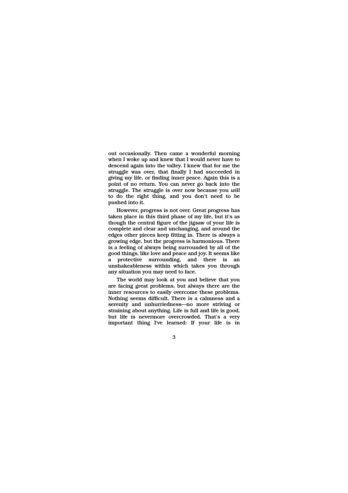out occasionally. Then came a wonderful morning when I woke up and knew that I would never have to descend again into the valley. I knew that for me the struggle was over, that finally I had succeeded in giving my life, or finding inner peace. Again this is a point of no return. You can never go back into the struggle. The struggle is over now because you *will* to do the right thing, and you don't need to be pushed into it.

However, progress is not over. Great progress has taken place in this third phase of my life, but it's as though the central figure of the jigsaw of your life is complete and clear and unchanging, and around the edges other pieces keep fitting in. There is always a growing edge, but the progress is harmonious. There is a feeling of always being surrounded by all of the good things, like love and peace and joy. It seems like a protective surrounding, and there is an unshakeableness within which takes you through any situation you may need to face.

The world may look at you and believe that you are facing great problems, but always there are the inner resources to easily overcome these problems. Nothing seems difficult. There is a calmness and a serenity and unhurriedness—no more striving or straining about anything. Life is full and life is good, but life is nevermore overcrowded. That's a very important thing I've learned: If your life is in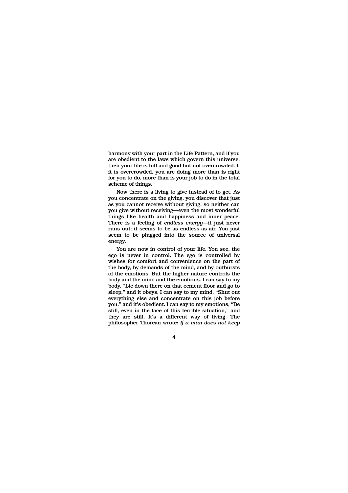harmony with your part in the Life Pattern, and if you are obedient to the laws which govern this universe, then your life is full and good but not overcrowded. If it is overcrowded, you are doing more than is right for you to do, more than is your job to do in the total scheme of things.

Now there is a living to give instead of to get. As you concentrate on the giving, you discover that just as you cannot receive without giving, so neither can you give without receiving—even the most wonderful things like health and happiness and inner peace. There is a feeling of *endless energy*—it just never runs out; it seems to be as endless as air. You just seem to be plugged into the source of universal energy.

You are now in control of your life. You see, the ego is never in control. The ego is controlled by wishes for comfort and convenience on the part of the body, by demands of the mind, and by outbursts of the emotions. But the higher nature controls the body and the mind and the emotions. I can say to my body, "Lie down there on that cement floor and go to sleep," and it obeys. I can say to my mind, "Shut out everything else and concentrate on this job before you," and it's obedient. I can say to my emotions, "Be still, even in the face of this terrible situation," and they are still. It's a different way of living. The philosopher Thoreau wrote: *If a man does not keep*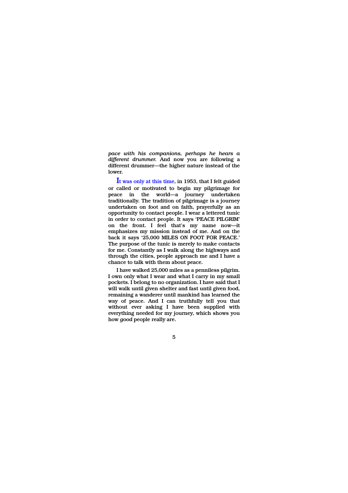*pace with his companions, perhaps he hears a different drummer.* And now you are following a different drummer—the higher nature instead of the lower.

It was only at this time, in 1953, that I felt guided or called or motivated to begin my pilgrimage for peace in the world—a journey undertaken traditionally. The tradition of pilgrimage is a journey undertaken on foot and on faith, prayerfully as an opportunity to contact people. I wear a lettered tunic in order to contact people. It says 'PEACE PILGRIM' on the front. I feel that's my name now—it emphasizes my mission instead of me. And on the back it says '25,000 MILES ON FOOT FOR PEACE.' The purpose of the tunic is merely to make contacts for me. Constantly as I walk along the highways and through the cities, people approach me and I have a chance to talk with them about peace.

I have walked 25,000 miles as a penniless pilgrim. I own only what I wear and what I carry in my small pockets. I belong to no organization. I have said that I will walk until given shelter and fast until given food, remaining a wanderer until mankind has learned the way of peace. And I can truthfully tell you that without ever asking I have been supplied with everything needed for my journey, which shows you how *good* people really are.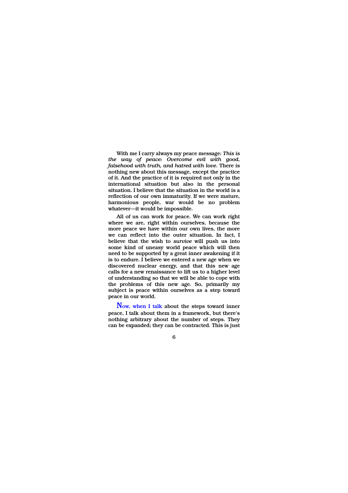With me I carry always my peace message: *This is the way of peace: Overcome evil with good, falsehood with truth, and hatred with love*. There is nothing new about this message, except the practice of it. And the practice of it is required not only in the international situation but also in the personal situation. I believe that the situation in the world is a reflection of our own immaturity. If we were mature, harmonious people, war would be no problem whatever—it would be impossible.

All of us can work for peace. We can work right where we are, right within ourselves, because the more peace we have within our own lives, the more we can reflect into the outer situation. In fact, I believe that the wish to *survive* will push us into some kind of uneasy world peace which will then need to be supported by a great inner awakening if it is to endure. I believe we entered a new age when we discovered nuclear energy, and that this new age calls for a new renaissance to lift us to a higher level of understanding so that we will be able to cope with the problems of this new age. So, primarily my subject is peace within ourselves as a step toward peace in our world.

Now, when I talk about the steps toward inner peace, I talk about them in a framework, but there's nothing arbitrary about the number of steps. They can be expanded; they can be contracted. This is just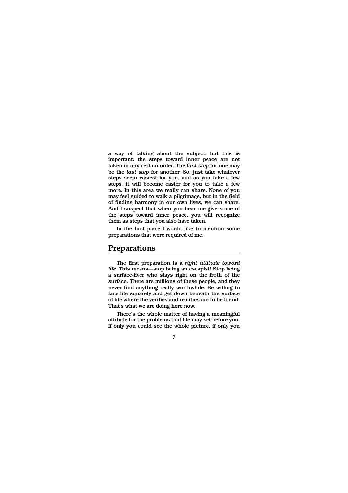a way of talking about the subject, but this is important: the steps toward inner peace are not taken in any certain order. The *first step* for one may be the *last step* for another. So, just take whatever steps seem easiest for you, and as you take a few steps, it will become easier for you to take a few more. In this area we really can share. None of you may feel guided to walk a pilgrimage, but in the field of finding harmony in our own lives, we can share. And I suspect that when you hear me give some of the steps toward inner peace, you will recognize them as steps that you also have taken.

In the first place I would like to mention some preparations that were required of me.

# <span id="page-8-0"></span>**Preparations**

The first preparation is a *right attitude toward life.* This means—stop being an escapist! Stop being a surface-liver who stays right on the froth of the surface. There are millions of these people, and they never find anything really worthwhile. Be willing to face life squarely and get down beneath the surface of life where the verities and realities are to be found. That's what we are doing here now.

There's the whole matter of having a meaningful attitude for the problems that life may set before you. If only you could see the whole picture, if only you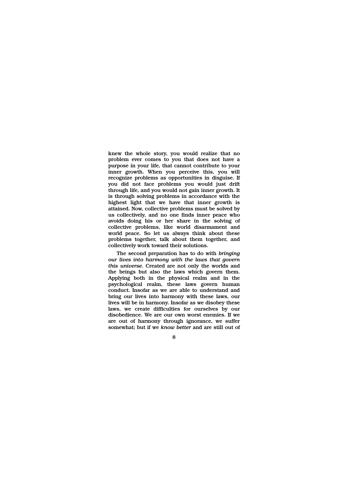knew the whole story, you would realize that no problem ever comes to you that does not have a purpose in your life, that cannot contribute to your inner growth. When you perceive this, you will recognize problems as opportunities in disguise. If you did not face problems you would just drift through life, and you would not gain inner growth. It is through solving problems in accordance with the highest light that we have that inner growth is attained. Now, collective problems must be solved by us collectively, and no one finds inner peace who avoids doing his or her share in the solving of collective problems, like world disarmament and world peace. So let us always think about these problems together, talk about them together, and collectively work toward their solutions.

The second preparation has to do with *bringing our lives into harmony with the laws that govern this universe*. Created are not only the worlds and the beings but also the laws which govern them. Applying both in the physical realm and in the psychological realm, these laws govern human conduct. Insofar as we are able to understand and bring our lives into harmony with these laws, our lives will be in harmony. Insofar as we disobey these laws, we create difficulties for ourselves by our disobedience. We are our own worst enemies. If we are out of harmony through ignorance, we suffer somewhat; but if we *know better* and are still out of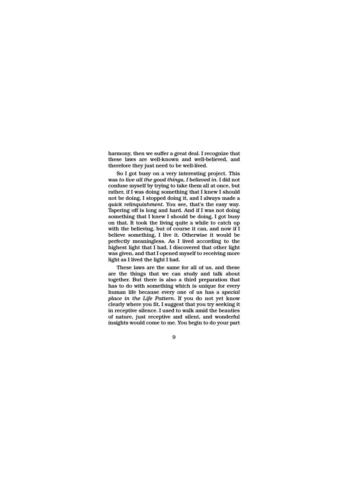harmony, then we suffer a great deal. I recognize that these laws are well-known and well-believed, and therefore they just need to be well-lived.

So I got busy on a very interesting project. This was *to live all the good things, I believed in*. I did not confuse myself by trying to take them all at once, but rather, if I was doing something that I knew I should not be doing, I stopped doing it, and I always made a *quick relinquishment*. You see, that's the easy way. Tapering off is long and hard. And if I was not doing something that I knew I should be doing, I got busy on that. It took the living quite a while to catch up with the believing, but of course it can, and now if I believe something, I live it. Otherwise it would be perfectly meaningless. As I lived according to the highest light that I had, I discovered that other light was given, and that I opened myself to receiving more light as I lived the light I had.

These laws are the same for all of us, and these are the things that we can study and talk about together. But there is also a third preparation that has to do with something which is unique for every human life because every one of us has a *special place in the Life Pattern*. If you do not yet know clearly where you fit, I suggest that you try seeking it in receptive silence. I used to walk amid the beauties of nature, just receptive and silent, and wonderful insights would come to me. You begin to do your part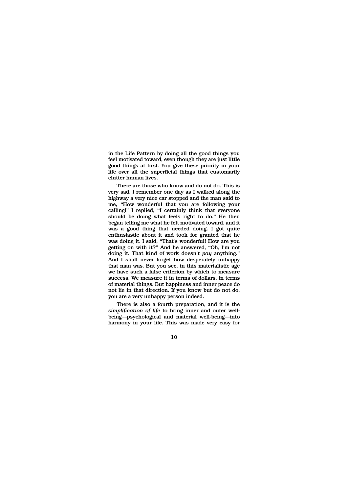in the Life Pattern by doing all the good things you feel motivated toward, even though they are just little good things at first. You give these priority in your life over all the superficial things that customarily clutter human lives.

There are those who know and do not do. This is very sad. I remember one day as I walked along the highway a very nice car stopped and the man said to me, "How wonderful that you are following your calling!" I replied, "I certainly think that everyone should be doing what feels right to do." He then began telling me what he felt motivated toward, and it was a good thing that needed doing. I got quite enthusiastic about it and took for granted that he was doing it. I said, "That's wonderful! How are you getting on with it?" And he answered, "Oh, I'm not doing it. That kind of work doesn't *pay* anything." And I shall never forget how desperately unhappy that man was. But you see, in this materialistic age we have such a false criterion by which to measure success. We measure it in terms of dollars, in terms of material things. But happiness and inner peace do not lie in that direction. If you know but do not do, you are a very unhappy person indeed.

There is also a fourth preparation, and it is the *simplification of life* to bring inner and outer wellbeing—psychological and material well-being—into harmony in your life. This was made very easy for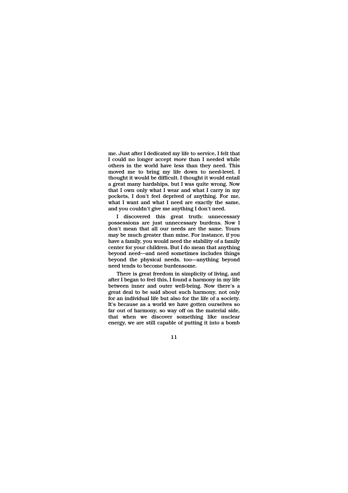me. Just after I dedicated my life to service, I felt that I could no longer accept *more* than I needed while others in the world have *less* than they need. This moved me to bring my life down to need-level. I thought it would be difficult. I thought it would entail a great many hardships, but I was quite wrong. Now that I own only what I wear and what I carry in my pockets, I don't feel deprived of anything. For me, what I want and what I need are exactly the same, and you couldn't give me anything I don't need.

I discovered this great truth: unnecessary possessions are just unnecessary burdens. Now I don't mean that all our needs are the same. Yours may be much greater than mine. For instance, if you have a family, you would need the stability of a family center for your children. But I do mean that anything beyond need—and need sometimes includes things beyond the physical needs, too—anything beyond need tends to become burdensome.

There is great freedom in simplicity of living, and after I began to feel this, I found a harmony in my life between inner and outer well-being. Now there's a great deal to be said about such harmony, not only for an individual life but also for the life of a society. It's because as a world we have gotten ourselves so far out of harmony, so way off on the material side, that when we discover something like nuclear energy, we are still capable of putting it into a bomb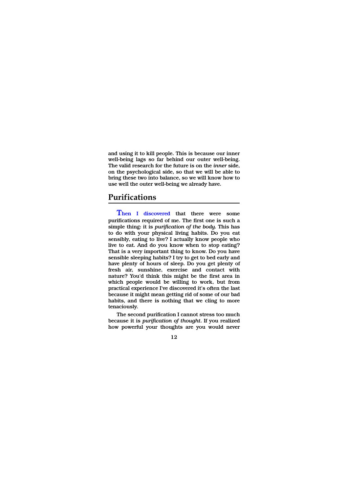and using it to kill people. This is because our inner well-being lags so far behind our outer well-being. The valid research for the future is on the *inner* side, on the psychological side, so that we will be able to bring these two into balance, so we will know how to use well the outer well-being we already have.

# <span id="page-13-0"></span>**Purifications**

Then I discovered that there were some purifications required of me. The first one is such a simple thing: it is *purification of the body*. This has to do with your physical living habits. Do you eat sensibly, eating to live? I actually know people who live to eat. And do you know when to stop eating? That is a very important thing to know. Do you have sensible sleeping habits? I try to get to bed early and have plenty of hours of sleep. Do you get plenty of fresh air, sunshine, exercise and contact with nature? You'd think this might be the first area in which people would be willing to work, but from practical experience I've discovered it's often the last because it might mean getting rid of some of our bad habits, and there is nothing that we cling to more tenaciously.

The second purification I cannot stress too much because it is *purification of thought*. If you realized how powerful your thoughts are you would never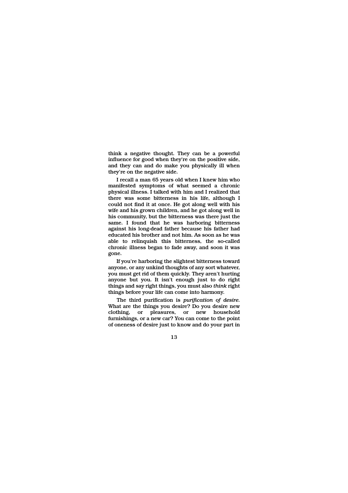think a negative thought. They can be a powerful influence for good when they're on the positive side, and they can and do make you physically ill when they're on the negative side.

I recall a man 65 years old when I knew him who manifested symptoms of what seemed a chronic physical illness. I talked with him and I realized that there was some bitterness in his life, although I could not find it at once. He got along well with his wife and his grown children, and he got along well in his community, but the bitterness was there just the same. I found that he was harboring bitterness against his long-dead father because his father had educated his brother and not him. As soon as he was able to relinquish this bitterness, the so-called chronic illness began to fade away, and soon it was gone.

If you're harboring the slightest bitterness toward anyone, or any unkind thoughts of any sort whatever, you must get rid of them quickly. They aren't hurting anyone but you. It isn't enough just to do right things and say right things, you must also *think* right things before your life can come into harmony.

The third purification is *purification of desire*. What are the things you desire? Do you desire new<br>clothing, or pleasures, or new household clothing, or pleasures, or new furnishings, or a new car? You can come to the point of oneness of desire just to know and do your part in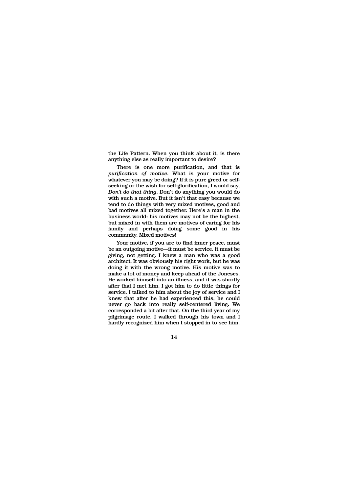the Life Pattern. When you think about it, is there anything else as really important to desire?

There is one more purification, and that is *purification of motive*. What is your motive for whatever you may be doing? If it is pure greed or selfseeking or the wish for self-glorification, I would say, *Don't do that thing*. Don't do anything you would do with such a motive. But it isn't that easy because we tend to do things with very mixed motives, good and bad motives all mixed together. Here's a man in the business world: his motives may not be the highest, but mixed in with them are motives of caring for his family and perhaps doing some good in his community. Mixed motives!

Your motive, if you are to find inner peace, must be an outgoing motive—it must be service. It must be giving, not getting. I knew a man who was a good architect. It was obviously his right work, but he was doing it with the wrong motive. His motive was to make a lot of money and keep ahead of the Joneses. He worked himself into an illness, and it was shortly after that I met him. I got him to do little things for service. I talked to him about the joy of service and I knew that after he had experienced this, he could never go back into really self-centered living. We corresponded a bit after that. On the third year of my pilgrimage route, I walked through his town and I hardly recognized him when I stopped in to see him.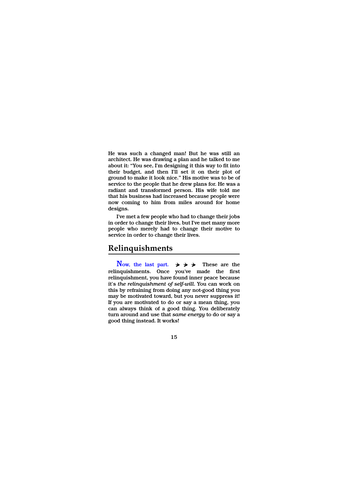He was such a changed man! But he was still an architect. He was drawing a plan and he talked to me about it: "You see, I'm designing it this way to fit into their budget, and then I'll set it on their plot of ground to make it look nice." His motive was to be of service to the people that he drew plans for. He was a radiant and transformed person. His wife told me that his business had increased because people were now coming to him from miles around for home designs.

I've met a few people who had to change their jobs in order to change their lives, but I've met many more people who merely had to change their motive to service in order to change their lives.

# <span id="page-16-0"></span>**Relinquishments**

Now, the last part.  $\Rightarrow \Rightarrow$  These are the relinquishments. Once you've made the first relinquishment, you have found inner peace because it's *the relinquishment of self-will*. You can work on this by refraining from doing any not-good thing you may be motivated toward, but you never suppress it! If you are motivated to do or say a mean thing, you can always think of a good thing. You deliberately turn around and use that *same energy* to do or say a good thing instead. It works!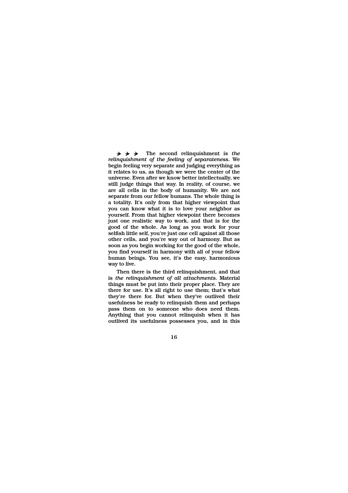• • • The second relinquishment is *the relinquishment of the feeling of separateness*. We begin feeling very separate and judging everything as it relates to us, as though we were the center of the universe. Even after we know better intellectually, we still judge things that way. In reality, of course, we are all cells in the body of humanity. We are not separate from our fellow humans. The whole thing is a totality. It's only from that higher viewpoint that you can know what it is to love your neighbor as yourself. From that higher viewpoint there becomes just one realistic way to work, and that is for the good of the whole. As long as you work for your selfish little self, you're just one cell against all those other cells, and you're way out of harmony. But as soon as you begin working for the good of the whole, you find yourself in harmony with all of your fellow human beings. You see, it's the easy, harmonious way to live.

Then there is the third relinquishment, and that is *the relinquishment of all attachments*. Material things must be put into their proper place. They are there for use. It's all right to use them; that's what they're there for. But when they've outlived their usefulness be ready to relinquish them and perhaps pass them on to someone who does need them. Anything that you cannot relinquish when it has outlived its usefulness possesses you, and in this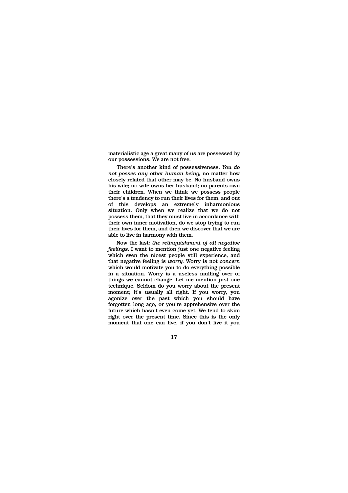materialistic age a great many of us are possessed by our possessions. We are not free.

There's another kind of possessiveness. *You do not posses any other human being,* no matter how closely related that other may be. No husband owns his wife; no wife owns her husband; no parents own their children. When we think we possess people there's a tendency to run their lives for them, and out of this develops an extremely inharmonious situation. Only when we realize that we do not possess them, that they must live in accordance with their own inner motivation, do we stop trying to run their lives for them, and then we discover that we are able to live in harmony with them.

Now the last: *the relinquishment of all negative feelings*. I want to mention just one negative feeling which even the nicest people still experience, and that negative feeling is *worry*. Worry is not *concern* which would motivate you to do everything possible in a situation. Worry is a useless mulling over of things we cannot change. Let me mention just one technique. Seldom do you worry about the present moment; it's usually all right. If you worry, you agonize over the past which you should have forgotten long ago, or you're apprehensive over the future which hasn't even come yet. We tend to skim right over the present time. Since this is the only moment that one can live, if you don't live it you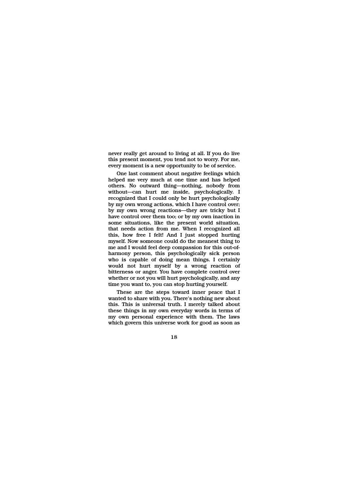never really get around to living at all. If you do live this present moment, you tend not to worry. For me, every moment is a new opportunity to be of service.

One last comment about negative feelings which helped me very much at one time and has helped others. No outward thing—nothing, nobody from without—can hurt me inside, psychologically. I recognized that I could only be hurt psychologically by my own wrong actions, which I have control over; by my own wrong reactions—they are tricky but I have control over them too; or by my own inaction in some situations, like the present world situation, that needs action from me. When I recognized all this, how free I felt! And I just stopped hurting myself. Now someone could do the meanest thing to me and I would feel deep compassion for this out-ofharmony person, this psychologically sick person who is capable of doing mean things. I certainly would not hurt myself by a wrong reaction of bitterness or anger. You have complete control over whether or not you will hurt psychologically, and any time you want to, you can stop hurting yourself.

These are the steps toward inner peace that I wanted to share with you. There's nothing new about this. This is universal truth. I merely talked about these things in my own everyday words in terms of my own personal experience with them. The laws which govern this universe work for good as soon as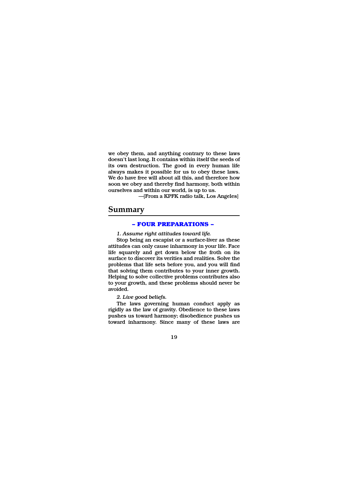we obey them, and anything contrary to these laws doesn't last long. It contains within itself the seeds of its own destruction. The good in every human life always makes it possible for us to obey these laws. We do have free will about all this, and therefore how soon we obey and thereby find harmony, both within ourselves and within our world, is up to us.

—[From a KPFK radio talk, Los Angeles]

# <span id="page-20-0"></span>**Summary**

## **– FOUR PREPARATIONS –**

#### *1. Assume right attitudes toward life.*

Stop being an escapist or a surface-liver as these attitudes can only cause inharmony in your life. Face life squarely and get down below the froth on its surface to discover its verities and realities. Solve the problems that life sets before you, and you will find that solving them contributes to your inner growth. Helping to solve collective problems contributes also to your growth, and these problems should never be **Debiove** 

### *2. Live good beliefs.*

The laws governing human conduct apply as rigidly as the law of gravity. Obedience to these laws pushes us toward harmony; disobedience pushes us toward inharmony. Since many of these laws are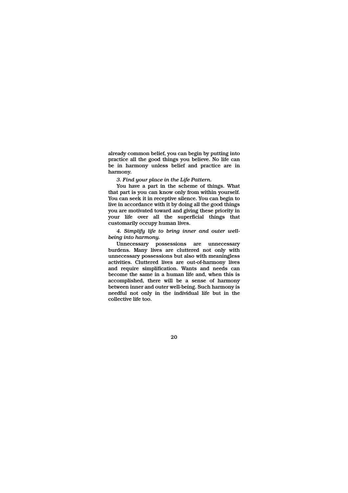already common belief, you can begin by putting into practice all the good things you believe. No life can be in harmony unless belief and practice are in harmony.

*3. Find your place in the Life Pattern.* 

You have a part in the scheme of things. What that part is you can know only from within yourself. You can seek it in receptive silence. You can begin to live in accordance with it by doing all the good things you are motivated toward and giving these priority in your life over all the superficial things that customarily occupy human lives.

*4. Simplify life to bring inner and outer wellbeing into harmony.* 

Unnecessary possessions are unnecessary burdens. Many lives are cluttered not only with unnecessary possessions but also with meaningless activities. Cluttered lives are out-of-harmony lives and require simplification. Wants and needs can become the same in a human life and, when this is accomplished, there will be a sense of harmony between inner and outer well-being. Such harmony is needful not only in the individual life but in the collective life too.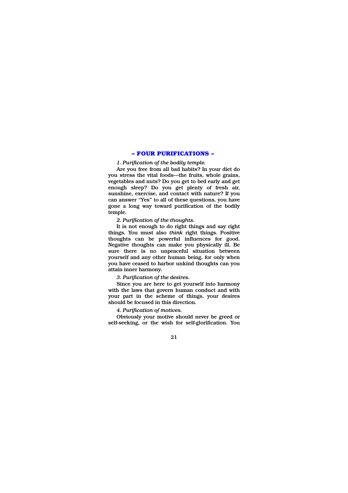### **– FOUR PURIFICATIONS –**

### *1. Purification of the bodily temple.*

Are you free from all bad habits? In your diet do you stress the vital foods—the fruits, whole grains, vegetables and nuts? Do you get to bed early and get enough sleep? Do you get plenty of fresh air, sunshine, exercise, and contact with nature? If you can answer "Yes" to all of these questions, you have gone a long way toward purification of the bodily temple.

### *2. Purification of the thoughts.*

It is not enough to do right things and say right things. You must also *think* right things. Positive thoughts can be powerful influences for good. Negative thoughts can make you physically ill. Be sure there is no unpeaceful situation between yourself and any other human being, for only when you have ceased to harbor unkind thoughts can you attain inner harmony.

### *3. Purification of the desires.*

Since you are here to get yourself into harmony with the laws that govern human conduct and with your part in the scheme of things, your desires should be focused in this direction.

### *4. Purification of motives.*

Obviously your motive should never be greed or self-seeking, or the wish for self-glorification. You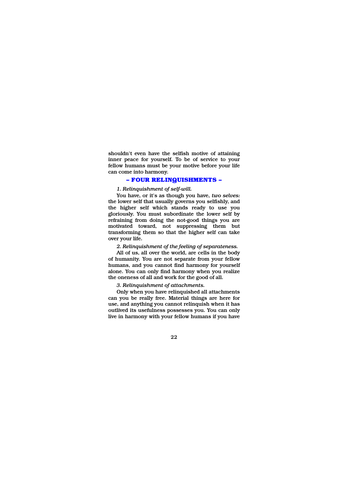shouldn't even have the selfish motive of attaining inner peace for yourself. To be of service to your fellow humans must be your motive before your life can come into harmony.

## **– FOUR RELINQUISHMENTS –**

*1. Relinquishment of self-will.* 

You have, or it's as though you have, *two selves:* the lower self that usually governs you selfishly, and the higher self which stands ready to use you gloriously. You must subordinate the lower self by refraining from doing the not-good things you are motivated toward, not suppressing them but transforming them so that the higher self can take over your life.

### *2. Relinquishment of the feeling of separateness.*

All of us, all over the world, are cells in the body of humanity. You are not separate from your fellow humans, and you cannot find harmony for yourself alone. You can only find harmony when you realize the oneness of all and work for the good of all.

### *3. Relinquishment of attachments.*

Only when you have relinquished all attachments can you be really free. Material things are here for use, and anything you cannot relinquish when it has outlived its usefulness possesses you. You can only live in harmony with your fellow humans if you have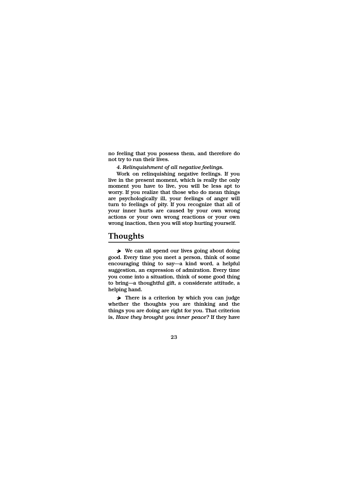no feeling that you possess them, and therefore do not try to run their lives.

*4. Relinquishment of all negative feelings.* 

Work on relinquishing negative feelings. If you live in the present moment, which is really the only moment you have to live, you will be less apt to worry. If you realize that those who do mean things are psychologically ill, your feelings of anger will turn to feelings of pity. If you recognize that all of your inner hurts are caused by your own wrong actions or your own wrong reactions or your own wrong inaction, then you will stop hurting yourself.

# <span id="page-24-0"></span>**Thoughts**

 $\rightarrow$  We can all spend our lives going about doing good. Every time you meet a person, think of some encouraging thing to say—a kind word, a helpful suggestion, an expression of admiration. Every time you come into a situation, think of some good thing to bring—a thoughtful gift, a considerate attitude, a helping hand.

 $\rightarrow$  There is a criterion by which you can judge whether the thoughts you are thinking and the things you are doing are right for you. That criterion is, *Have they brought you inner peace?* If they have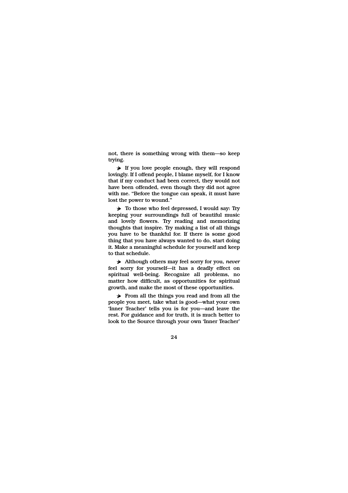not, there is something wrong with them—so keep trying.

 $\rightarrow$  If you love people enough, they will respond lovingly. If I offend people, I blame myself, for I know that if my conduct had been correct, they would not have been offended, even though they did not agree with me. "Before the tongue can speak, it must have lost the power to wound."

 $\rightarrow$  To those who feel depressed, I would say: Try keeping your surroundings full of beautiful music and lovely flowers. Try reading and memorizing thoughts that inspire. Try making a list of all things you have to be thankful for. If there is some good thing that you have always wanted to do, start doing it. Make a meaningful schedule for yourself and keep to that schedule.

• Although others may feel sorry for you, *never* feel sorry for yourself—it has a deadly effect on spiritual well-being. Recognize all problems, no matter how difficult, as opportunities for spiritual growth, and make the most of these opportunities.

• From all the things you read and from all the people you meet, take what is good—what your own 'Inner Teacher' tells you is for you—and leave the rest. For guidance and for truth, it is much better to look to the Source through your own 'Inner Teacher'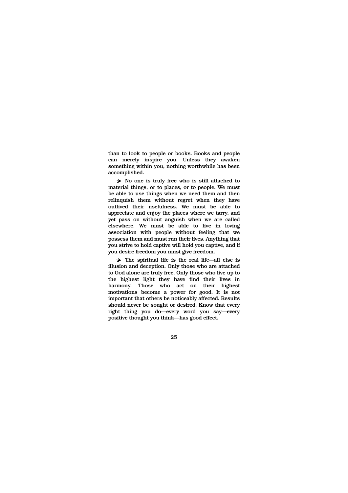than to look to people or books. Books and people can merely inspire you. Unless they awaken something within you, nothing worthwhile has been accomplished.

 $\blacktriangleright$  No one is truly free who is still attached to material things, or to places, or to people. We must be able to use things when we need them and then relinquish them without regret when they have outlived their usefulness. We must be able to appreciate and enjoy the places where we tarry, and yet pass on without anguish when we are called elsewhere. We must be able to live in loving association with people without feeling that we possess them and must run their lives. Anything that you strive to hold captive will hold you captive, and if you desire freedom you must give freedom.

 $\blacktriangleright$  The spiritual life is the real life—all else is illusion and deception. Only those who are attached to God alone are truly free. Only those who live up to the highest light they have find their lives in harmony. Those who act on their highest motivations become a power for good. It is not important that others be noticeably affected. Results should never be sought or desired. Know that every right thing you do—every word you say—every positive thought you think—has good effect.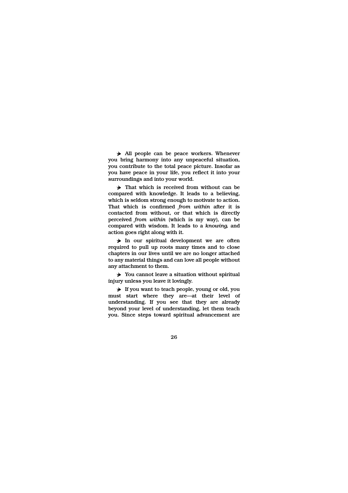$\triangleq$  All people can be peace workers. Whenever you bring harmony into any unpeaceful situation, you contribute to the total peace picture. Insofar as you have peace in your life, you reflect it into your surroundings and into your world.

 $\triangle$  That which is received from without can be compared with knowledge. It leads to a believing, which is seldom strong enough to motivate to action. That which is confirmed *from within* after it is contacted from without, or that which is directly perceived *from within* (which is my way), can be compared with wisdom. It leads to a *knowing,* and action goes right along with it.

 $\blacktriangleright$  In our spiritual development we are often required to pull up roots many times and to close chapters in our lives until we are no longer attached to any material things and can love all people without any attachment to them.

• You cannot leave a situation without spiritual injury unless you leave it lovingly.

• If you want to teach people, young or old, you must start where they are—at their level of understanding. If you see that they are already beyond your level of understanding, let them teach you. Since steps toward spiritual advancement are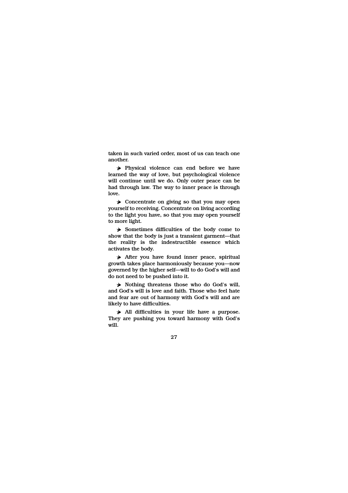taken in such varied order, most of us can teach one another.

• Physical violence can end before we have learned the way of love, but psychological violence will continue until we do. Only outer peace can be had through law. The way to inner peace is through love.

 $\triangle$  Concentrate on giving so that you may open yourself to receiving. Concentrate on living according to the light you have, so that you may open yourself to more light.

 $\rightarrow$  Sometimes difficulties of the body come to show that the body is just a transient garment—that the reality is the indestructible essence which activates the body.

 $\blacktriangleright$  After you have found inner peace, spiritual growth takes place harmoniously because you—now governed by the higher self—will to do God's will and do not need to be pushed into it.

• Nothing threatens those who do God's will, and God's will is love and faith. Those who feel hate and fear are out of harmony with God's will and are likely to have difficulties.

• All difficulties in your life have a purpose. They are pushing you toward harmony with God's will.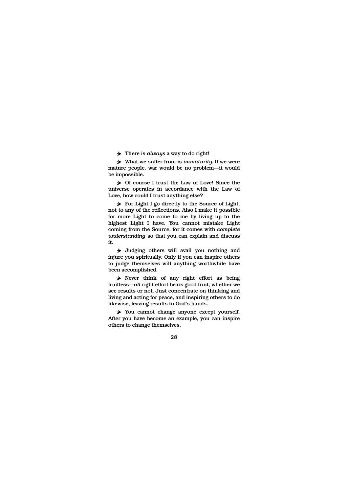• There is *always* a way to do right!

• What we suffer from is *immaturity*. If we were mature people, war would be no problem—it would be impossible.

• Of course I trust the Law of Love! Since the universe operates in accordance with the Law of Love, how could I trust anything else?

• For Light I go directly to the Source of Light, not to any of the reflections. Also I make it possible for more Light to come to me by living up to the highest Light I have. You cannot mistake Light coming from the Source, for it comes with *complete understanding* so that you can explain and discuss it.

• Judging others will avail you nothing and injure you spiritually. Only if you can inspire others to judge themselves will anything worthwhile have been accomplished.

 $\blacktriangleright$  Never think of any right effort as being fruitless—*all* right effort bears good fruit, whether we see results or not. Just concentrate on thinking and living and acting for peace, and inspiring others to do likewise, leaving results to God's hands.

• You cannot change anyone except yourself. After you have become an example, you can inspire others to change themselves.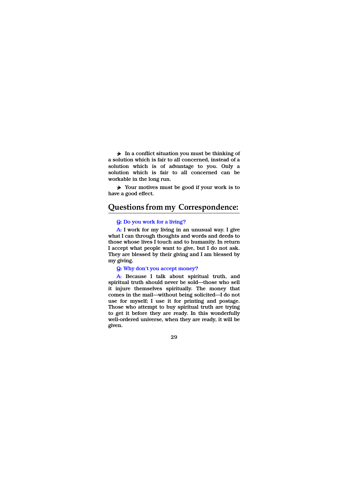$\blacktriangleright$  In a conflict situation you must be thinking of a solution which is fair to all concerned, instead of a solution which is of advantage to you. Only a solution which is fair to all concerned can be workable in the long run.

• Your motives must be good if your work is to have a good effect.

# <span id="page-30-0"></span>**Questions from my Correspondence:**

## Q: Do you work for a living?

A: I work for my living in an unusual way. I give what I can through thoughts and words and deeds to those whose lives I touch and to humanity. In return I accept what people want to give, but I do not ask. They are blessed by their giving and I am blessed by my giving.

### Q: Why don't you accept money?

A: Because I talk about spiritual truth, and spiritual truth should never be sold—those who sell it injure themselves spiritually. The money that comes in the mail—without being solicited—I do not use for myself; I use it for printing and postage. Those who attempt to buy spiritual truth are trying to get it before they are ready. In this wonderfully well-ordered universe, when they are ready, it will be given.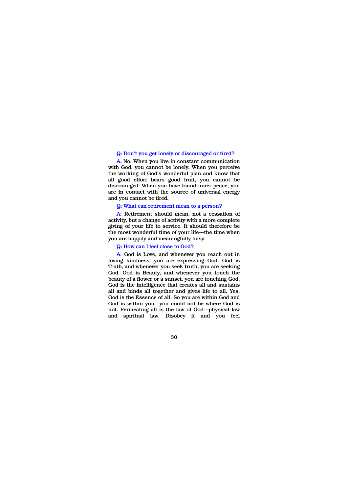#### Q: Don't you get lonely or discouraged or tired?

A: No. When you live in constant communication with God, you cannot be lonely. When you perceive the working of God's wonderful plan and know that all good effort bears good fruit, you cannot be discouraged. When you have found inner peace, you are in contact with the source of universal energy and you cannot be tired.

### Q: What can retirement mean to a person?

A: Retirement should mean, not a cessation of activity, but a change of activity with a more complete giving of your life to service. It should therefore be the most wonderful time of your life—the time when you are happily and meaningfully busy.

### Q: How can I feel close to God?

A: God is Love, and whenever you reach out in loving kindness, you are expressing God. God is Truth, and whenever you seek truth, you are seeking God. God is Beauty, and whenever you touch the beauty of a flower or a sunset, you are touching God. God is the Intelligence that creates all and sustains all and binds all together and gives life to all. Yes, God is the Essence of all. So you are within God and God is within you—you could not be where God is not. Permeating all is the law of God—physical law and spiritual law. Disobey it and you feel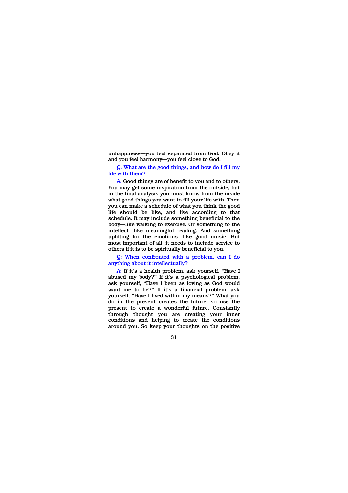unhappiness—you feel separated from God. Obey it and you feel harmony—you feel close to God.

Q: What are the good things, and how do I fill my life with them?

A: Good things are of benefit to you and to others. You may get some inspiration from the outside, but in the final analysis you must know from the inside what good things you want to fill your life with. Then you can make a schedule of what you think the good life should be like, and live according to that schedule. It may include something beneficial to the body—like walking to exercise. Or something to the intellect—like meaningful reading. And something uplifting for the emotions—like good music. But most important of all, it needs to include service to others if it is to be spiritually beneficial to you.

Q: When confronted with a problem, can I do anything about it intellectually?

A: If it's a health problem, ask yourself, "Have I abused my body?" If it's a psychological problem, ask yourself, "Have I been as loving as God would want me to be?" If it's a financial problem, ask yourself, "Have I lived within my means?" What you do in the present creates the future, so use the present to create a wonderful future. Constantly through thought you are creating your inner conditions and helping to create the conditions around you. So keep your thoughts on the positive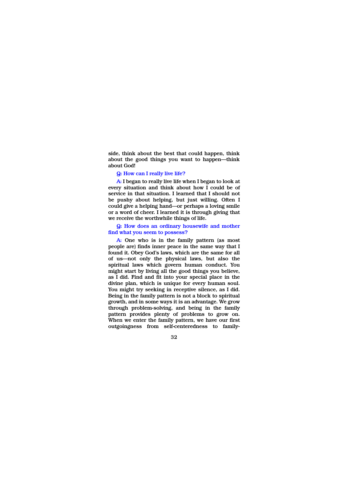side, think about the best that could happen, think about the good things you want to happen—think about God!

### Q: How can I really live life?

A: I began to really live life when I began to look at every situation and think about how I could be of service in that situation. I learned that I should not be pushy about helping, but just willing. Often I could give a helping hand—or perhaps a loving smile or a word of cheer. I learned it is through giving that we receive the worthwhile things of life.

### Q: How does an ordinary housewife and mother find what you seem to possess?

A: One who is in the family pattern (as most people are) finds inner peace in the same way that I found it. Obey God's laws, which are the same for all of us—not only the physical laws, but also the spiritual laws which govern human conduct. You might start by living all the good things you believe, as I did. Find and fit into your special place in the divine plan, which is unique for every human soul. You might try seeking in receptive silence, as I did. Being in the family pattern is not a block to spiritual growth, and in some ways it is an advantage. We grow through problem-solving, and being in the family pattern provides plenty of problems to grow on. When we enter the family pattern, we have our first outgoingness from self-centeredness to family-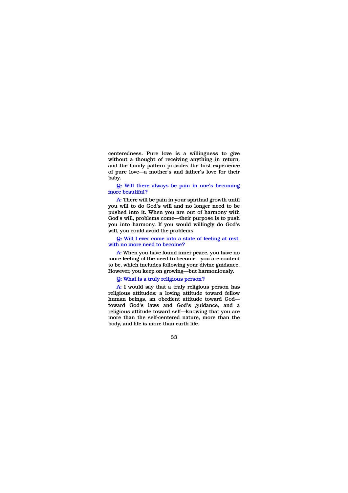centeredness. Pure love is a willingness to give without a thought of receiving anything in return, and the family pattern provides the first experience of pure love—a mother's and father's love for their baby.

Q: Will there always be pain in one's becoming more beautiful?

A: There will be pain in your spiritual growth until you will to do God's will and no longer need to be pushed into it. When you are out of harmony with God's will, problems come—their purpose is to push you into harmony. If you would willingly do God's will, you could avoid the problems.

Q: Will I ever come into a state of feeling at rest, with no more need to become?

A: When you have found inner peace, you have no more feeling of the need to become—you are content to be, which includes following your divine guidance. However, you keep on growing—but harmoniously.

Q: What is a truly religious person?

A: I would say that a truly religious person has religious attitudes: a loving attitude toward fellow human beings, an obedient attitude toward God toward God's laws and God's guidance, and a religious attitude toward self—knowing that you are more than the self-centered nature, more than the body, and life is more than earth life.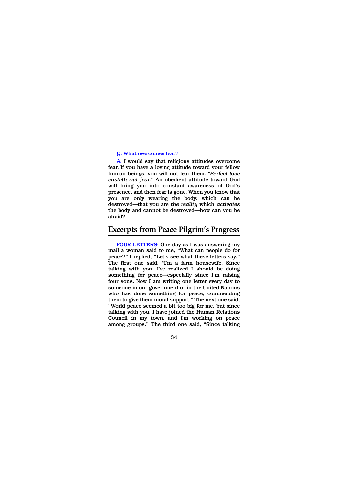### Q: What overcomes fear?

A: I would say that religious attitudes overcome fear. If you have a loving attitude toward your fellow human beings, you will not fear them. *"Perfect love casteth out fear."* An obedient attitude toward God will bring you into constant awareness of God's presence, and then fear is gone. When you know that you are only wearing the body, which can be destroyed—that you are *the reality* which *activates* the body and cannot be destroyed—how can you be afraid?

# <span id="page-35-0"></span>**Excerpts from Peace Pilgrim's Progress**

FOUR LETTERS: One day as I was answering my mail a woman said to me, "What can people do for peace?" I replied, "Let's see what these letters say." The first one said, "I'm a farm housewife. Since talking with you, I've realized I should be doing something for peace—especially since I'm raising four sons. Now I am writing one letter every day to someone in our government or in the United Nations who has done something for peace, commending them to give them moral support." The next one said, "World peace seemed a bit too big for me, but since talking with you, I have joined the Human Relations Council in my town, and I'm working on peace among groups." The third one said, "Since talking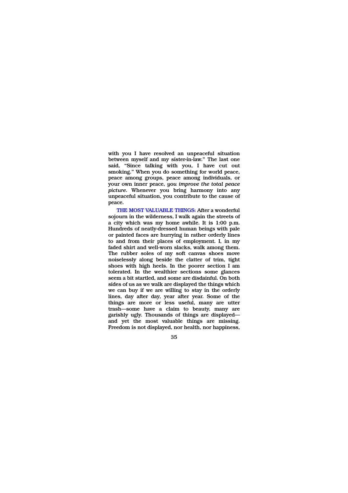with you I have resolved an unpeaceful situation between myself and my sister-in-law." The last one said, "Since talking with you, I have cut out smoking." When you do something for world peace, peace among groups, peace among individuals, or your own inner peace, *you improve the total peace picture*. Whenever you bring harmony into any unpeaceful situation, you contribute to the cause of peace.

THE MOST VALUABLE THINGS: After a wonderful sojourn in the wilderness, I walk again the streets of a city which was my home awhile. It is 1:00 p.m. Hundreds of neatly-dressed human beings with pale or painted faces are hurrying in rather orderly lines to and from their places of employment. I, in my faded shirt and well-worn slacks, walk among them. The rubber soles of my soft canvas shoes move noiselessly along beside the clatter of trim, tight shoes with high heels. In the poorer section I am tolerated. In the wealthier sections some glances seem a bit startled, and some are disdainful. On both sides of us as we walk are displayed the things which we can buy if we are willing to stay in the orderly lines, day after day, year after year. Some of the things are more or less useful, many are utter trash—some have a claim to beauty, many are garishly ugly. Thousands of things are displayed and yet the most valuable things are missing. Freedom is not displayed, nor health, nor happiness,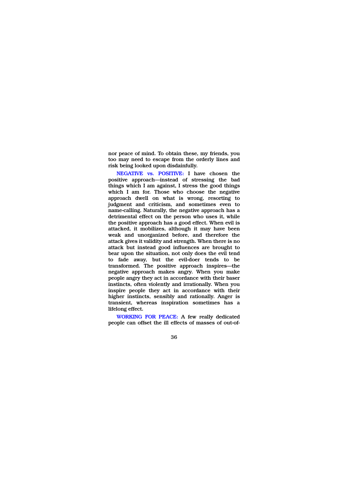nor peace of mind. To obtain these, my friends, you too may need to escape from the orderly lines and risk being looked upon disdainfully.

NEGATIVE vs. POSITIVE: I have chosen the positive approach—instead of stressing the bad things which I am against, I stress the good things which I am for. Those who choose the negative approach dwell on what is wrong, resorting to judgment and criticism, and sometimes even to name-calling. Naturally, the negative approach has a detrimental effect on the person who uses it, while the positive approach has a good effect. When evil is attacked, it mobilizes, although it may have been weak and unorganized before, and therefore the attack gives it validity and strength. When there is no attack but instead good influences are brought to bear upon the situation, not only does the evil tend to fade away, but the evil-doer tends to be transformed. The positive approach inspires—the negative approach makes angry. When you make people angry they act in accordance with their baser instincts, often violently and irrationally. When you inspire people they act in accordance with their higher instincts, sensibly and rationally. Anger is transient, whereas inspiration sometimes has a lifelong effect.

WORKING FOR PEACE: A few really dedicated people can offset the ill effects of masses of out-of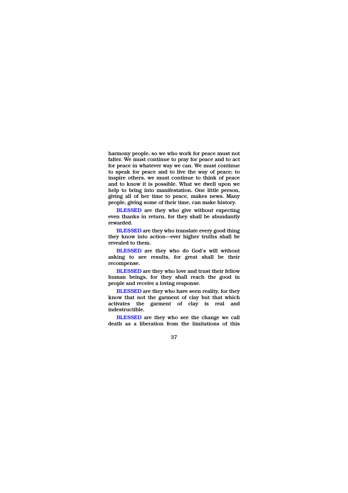harmony people, so we who work for peace must not falter. We must continue to pray for peace and to act for peace in whatever way we can. We must continue to speak for peace and to live the way of peace; to inspire others, we must continue to think of peace and to know it is possible. What we dwell upon we help to bring into manifestation. One little person, giving all of her time to peace, makes news. Many people, giving some of their time, can make history.

BLESSED are they who give without expecting even thanks in return, for they shall be abundantly rewarded.

BLESSED are they who translate every good thing they know into action—ever higher truths shall be revealed to them.

BLESSED are they who do God's will without asking to see results, for great shall be their recompense.

BLESSED are they who love and trust their fellow human beings, for they shall reach the good in people and receive a loving response.

BLESSED are they who have seen reality, for they know that not the garment of clay but that which activates the garment of clay is real and indestructible.

BLESSED are they who see the change we call death as a liberation from the limitations of this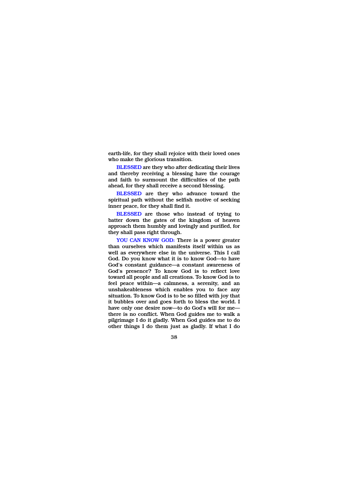earth-life, for they shall rejoice with their loved ones who make the glorious transition.

BLESSED are they who after dedicating their lives and thereby receiving a blessing have the courage and faith to surmount the difficulties of the path ahead, for they shall receive a second blessing.

BLESSED are they who advance toward the spiritual path without the selfish motive of seeking inner peace, for they shall find it.

BLESSED are those who instead of trying to batter down the gates of the kingdom of heaven approach them humbly and lovingly and purified, for they shall pass right through.

YOU CAN KNOW GOD: There is a power greater than ourselves which manifests itself within us as well as everywhere else in the universe. This I call God. Do you know what it is to know God—to have God's constant guidance—a constant awareness of God's presence? To know God is to reflect love toward all people and all creations. To know God is to feel peace within—a calmness, a serenity, and an unshakeableness which enables you to face any situation. To know God is to be so filled with joy that it bubbles over and goes forth to bless the world. I have only one desire now—to do God's will for me there is no conflict. When God guides me to walk a pilgrimage I do it gladly. When God guides me to do other things I do them just as gladly. If what I do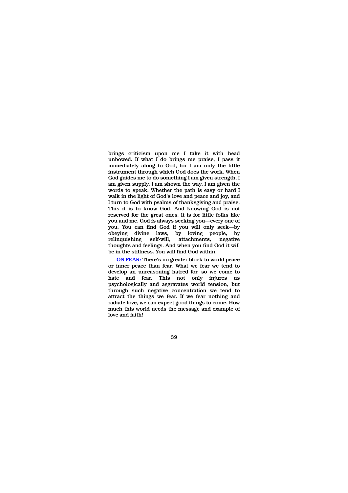brings criticism upon me I take it with head unbowed. If what I do brings me praise, I pass it immediately along to God, for I am only the little instrument through which God does the work. When God guides me to do something I am given strength, I am given supply, I am shown the way, I am given the words to speak. Whether the path is easy or hard I walk in the light of God's love and peace and joy, and I turn to God with psalms of thanksgiving and praise. This it is to know God. And knowing God is not reserved for the great ones. It is for little folks like you and me. God is always seeking you—every one of you. You can find God if you will only seek—by obeying divine laws, by loving people, by relinquishing self-will, attachments, negative thoughts and feelings. And when you find God it will be in the stillness. You will find God within.

ON FEAR: There's no greater block to world peace or inner peace than fear. What we fear we tend to develop an unreasoning hatred for, so we come to<br>hate and fear. This not only injures us hate and fear. This not only injures us psychologically and aggravates world tension, but through such negative concentration we tend to attract the things we fear. If we fear nothing and radiate love, we can expect good things to come. How much this world needs the message and example of love and faith!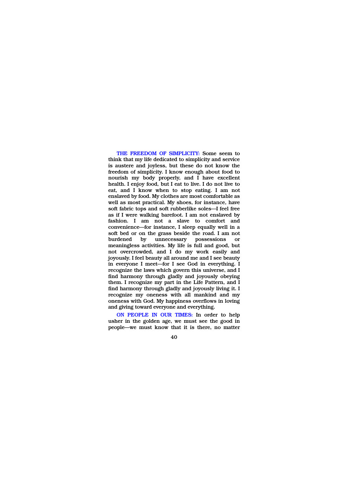THE FREEDOM OF SIMPLICITY: Some seem to think that my life dedicated to simplicity and service is austere and joyless, but these do not know the freedom of simplicity. I know enough about food to nourish my body properly, and I have excellent health. I enjoy food, but I eat to live. I do not live to eat, and I know when to stop eating. I am not enslaved by food. My clothes are most comfortable as well as most practical. My shoes, for instance, have soft fabric tops and soft rubberlike soles—I feel free as if I were walking barefoot. I am not enslaved by fashion. I am not a slave to comfort and convenience—for instance, I sleep equally well in a soft bed or on the grass beside the road. I am not burdened by unnecessary possessions or meaningless activities. My life is full and good, but not overcrowded, and I do my work easily and joyously. I feel beauty all around me and I see beauty in everyone I meet—for I see God in everything. I recognize the laws which govern this universe, and I find harmony through gladly and joyously obeying them. I recognize my part in the Life Pattern, and I find harmony through gladly and joyously living it. I recognize my oneness with all mankind and my oneness with God. My happiness overflows in loving and giving toward everyone and everything.

ON PEOPLE IN OUR TIMES: In order to help usher in the golden age, we must see the good in people—we must know that it is there, no matter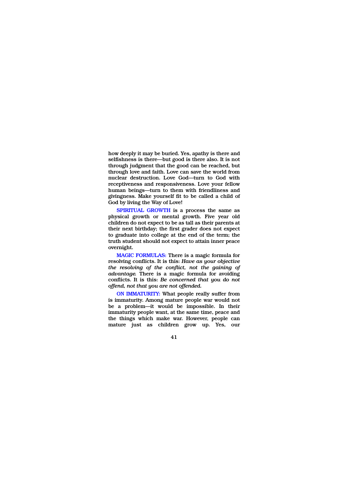how deeply it may be buried. Yes, apathy is there and selfishness is there—but good is there also. It is not through judgment that the good can be reached, but through love and faith. Love can save the world from nuclear destruction. Love God—turn to God with receptiveness and responsiveness. Love your fellow human beings—turn to them with friendliness and givingness. Make yourself fit to be called a child of God by living the Way of Love!

SPIRITUAL GROWTH is a process the same as physical growth or mental growth. Five year old children do not expect to be as tall as their parents at their next birthday; the first grader does not expect to graduate into college at the end of the term; the truth student should not expect to attain inner peace overnight.

MAGIC FORMULAS: There is a magic formula for resolving conflicts. It is this: *Have as your objective the resolving of the conflict, not the gaining of advantage.* There is a magic formula for avoiding conflicts. It is this: *Be concerned that you do not offend, not that you are not offended.*

ON IMMATURITY: What people really suffer from is immaturity. Among mature people war would not be a problem—it would be impossible. In their immaturity people want, at the same time, peace and the things which make war. However, people can mature just as children grow up. Yes, our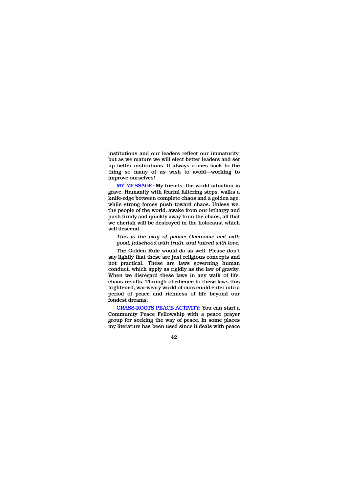institutions and our leaders reflect our immaturity, but as we mature we will elect better leaders and set up better institutions. It always comes back to the thing so many of us wish to avoid—working to improve ourselves!

MY MESSAGE: My friends, the world situation is grave. Humanity with fearful faltering steps, walks a knife-edge between complete chaos and a golden age, while strong forces push toward chaos. Unless we, the people of the world, awake from our lethargy and push firmly and quickly away from the chaos, all that we cherish will be destroyed in the holocaust which will descend.

*This is the way of peace: Overcome evil with good, falsehood with truth, and hatred with love.*

The Golden Rule would do as well. Please don't say lightly that these are just religious concepts and not practical. These are laws governing human conduct, which apply as rigidly as the law of gravity. When we disregard these laws in any walk of life, chaos results. Through obedience to these laws this frightened, war-weary world of ours could enter into a period of peace and richness of life beyond our fondest dreams.

GRASS-ROOTS PEACE ACTIVITY: You can start a Community Peace Fellowship with a peace prayer group for seeking the way of peace. In some places my literature has been used since it deals with peace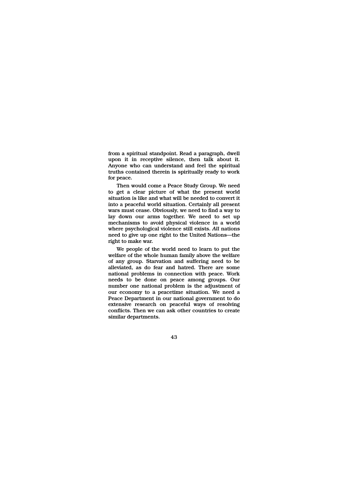from a spiritual standpoint. Read a paragraph, dwell upon it in receptive silence, then talk about it. Anyone who can understand and feel the spiritual truths contained therein is spiritually ready to work for peace.

Then would come a Peace Study Group. We need to get a clear picture of what the present world situation is like and what will be needed to convert it into a peaceful world situation. Certainly all present wars must cease. Obviously, we need to find a way to lay down our arms together. We need to set up mechanisms to avoid physical violence in a world where psychological violence still exists. *All* nations need to give up one right to the United Nations—the right to make war.

We people of the world need to learn to put the welfare of the whole human family above the welfare of any group. Starvation and suffering need to be alleviated, as do fear and hatred. There are some national problems in connection with peace. Work needs to be done on peace among groups. Our number one national problem is the adjustment of our economy to a peacetime situation. We need a Peace Department in our national government to do extensive research on peaceful ways of resolving conflicts. Then we can ask other countries to create similar departments.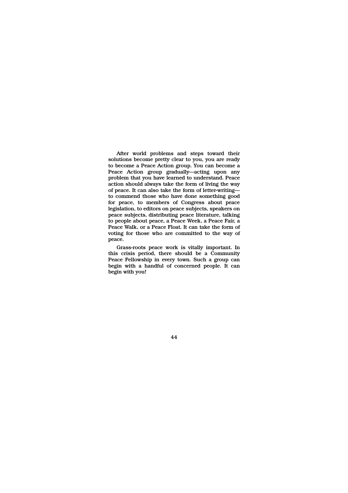After world problems and steps toward their solutions become pretty clear to you, you are ready to become a Peace Action group. You can become a Peace Action group gradually—acting upon any problem that you have learned to understand. Peace action should always take the form of living the way of peace. It can also take the form of letter-writing to commend those who have done something good for peace, to members of Congress about peace legislation, to editors on peace subjects, speakers on peace subjects, distributing peace literature, talking to people about peace, a Peace Week, a Peace Fair, a Peace Walk, or a Peace Float. It can take the form of voting for those who are committed to the way of peace.

Grass-roots peace work is vitally important. In this crisis period, there should be a Community Peace Fellowship in every town. Such a group can begin with a handful of concerned people. It can begin with you!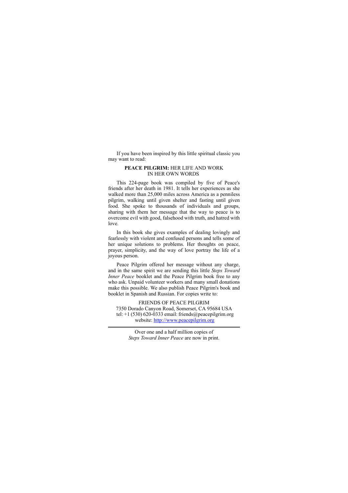If you have been inspired by this little spiritual classic you may want to read:

### **PEACE PILGRIM:** HER LIFE AND WORK IN HER OWN WORDS

This 224-page book was compiled by five of Peace's friends after her death in 1981. It tells her experiences as she walked more than 25,000 miles across America as a penniless pilgrim, walking until given shelter and fasting until given food. She spoke to thousands of individuals and groups, sharing with them her message that the way to peace is to overcome evil with good, falsehood with truth, and hatred with  $l$ ove

In this book she gives examples of dealing lovingly and fearlessly with violent and confused persons and tells some of her unique solutions to problems. Her thoughts on peace, prayer, simplicity, and the way of love portray the life of a joyous person.

Peace Pilgrim offered her message without any charge, and in the same spirit we are sending this little *Steps Toward Inner Peace* booklet and the Peace Pilgrim book free to any who ask. Unpaid volunteer workers and many small donations make this possible. We also publish Peace Pilgrim's book and booklet in Spanish and Russian. For copies write to:

#### FRIENDS OF PEACE PILGRIM

7350 Dorado Canyon Road, Somerset, CA 95684 USA tel:  $+1$  (530) 620-0333 email: friends@peacepilgrim.org website: <http://www.peacepilgrim.org>

Over one and a half million copies of *Steps Toward Inner Peace* are now in print.